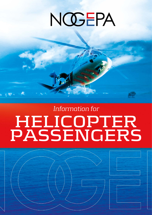# NOGEPA

*Information for* 

# **HELICOPTER PASSENGERS**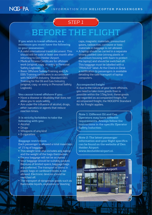

### *STEP 1*

# **BEFORE THE FLIGHT**

**If you wish to travel offshore, as a minimum you must have the following in your possession:**

- A valid international travel document. This should still be valid at least one month after returning to Den Helder Airport.
- Medical Fitness Certificate for offshore work (original, copy or entry in Personal Safety Logbook).
- Basic Offshore Safety Training and CA-EBS Training certificates in accordance with NOGEPA Industry Standard 001 Training for the Oil and Gas Industry (original, copy or entry in Personal Safety Logbook).

#### **You cannot travel offshore if you:**

- Have a disease or disability that does not allow you to work safely.
- Are under the influence of alcohol, drugs, other narcotics or agents that reduce reaction times.

### **It is strictly forbidden to take the following with you:**

- Alcohol
- Drugs
- Weapons of any kind
- E-cigarettes

### **Baggage restrictions**

Each passenger is allowed a total maximum of 15 kg of baggage.

- This weight limit also includes any laptop and the weight of the bags themselves.
- Excess baggage will not be accepted.
- Your baggage should be suitably packed. Because of limited space, baggage bags are preferred. The transport of items in plastic bags or cardboard boxes is not allowed. Electronic devices should be switched off.
- The transport of dangerous goods such as flammable liquids, explosives or blasting

caps, magnetic materials, pressurised gases, radioactive, corrosive or toxic materials in baggage is not allowed.

• A laptop should be carried in a separate strong padded case (strong plastic or aluminium housing with foam to protect the laptop) and should be switched off. This baggage must be labelled with a "FRAGILE" label. At the Check-in Desk a notification to passengers is available detailing the safe transport of laptop computers.

#### **Accompanied freight**

If, due to the nature of your work offshore, you need to take more goods than is possible within the 15kg limit, these goods are regarded as accompanied freight. For accompanied freight, the NOGEPA Standard for Air Freight applies.

**Note 1: Different Oil and Gas Operators may have different requirements. Always follow the instructions in the specific Operator Safety Induction.**

**Note 2: The latest passenger information and your flight specifics can be found on the website of Den Helder Airport: www.denhelderairport.nl.**

en Helder Airpor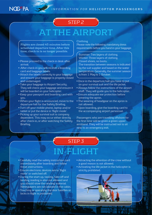

## *STEP 2*

# **AT THE AIRPORT**

**Flights are closed 45 minutes before scheduled departure time. After this time, check-in is no longer possible.**

- Please proceed to the check-in desk after arrival.
- After check-in you will receive a boarding card and baggage labels.
- Attach the labels correctly to your baggage and ensure your baggage is properly closed and undamaged.
- Take your baggage to Airport Security. They will check your baggage and ensure it will be boarded on your helicopter.
- Keep your passport and boarding card with you.
- When your flight is announced, move to the departure hall for the Safety Briefing.
- Turn off your mobile phone, laptop and/or tablet or put the device in 'flight mode'.
- Picking up your survival suit is company dependent. This may occur either directly after check-in, or after watching the Safety Briefing.

#### **Clothing**

Please note the following mandatory dress requirements before you hand in your baggage:

Summer: Two layers of clothing. Winter: Three lauers of clothing. Closed shoes, no boots. The transition between seasons is indicated by the suit supplier and based on the water temperature. Generally, the summer season is from 1 May to 1 October.

- Once in the departure hall you have to put on your survival suit and the life jacket.
- Always follow the instructions of the airport staff. They will guide you to the helicopter.
- Ensure adequate ear protection before entering the apron.
- The wearing of headgear on the apron is not allowed.
- Upon boarding, give the boarding card to the accompanying airport personnel.

Passengers who are travelling offshore for the first time will be given a green upperarmband. They will be instructed not to sit next to an emergency exit.

## *STEP 3*

# **IN-FLIGHT**

- Carefully read the safety instruction card immediately after boarding and follow these instructions.
- Ensure electronic devices are in 'flight mode' or switched off.
- During the start-up, taxiing, take-off and landing reading is also not allowed and you should stow the reading material. Newspapers are not allowed in the cabin.
- Touching or operating the door handles or locks in flight is prohibited.
- Attracting the attention of the crew without a good reason is not allowed.
- Activating the life jacket in the helicopter is strictly prohibited.